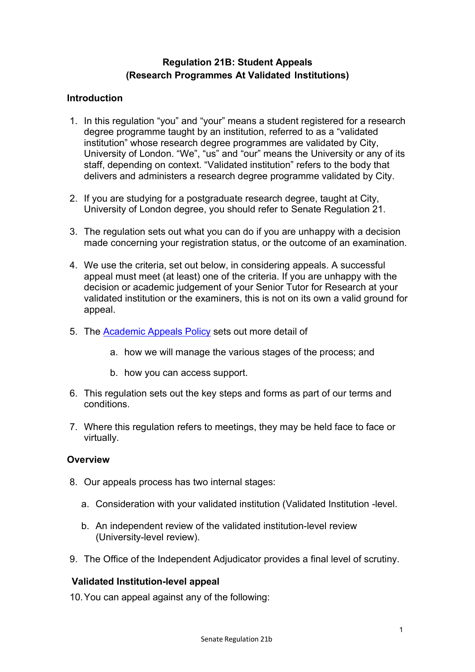# Regulation 21B: Student Appeals (Research Programmes At Validated Institutions)

### **Introduction**

- 1. In this regulation "you" and "your" means a student registered for a research degree programme taught by an institution, referred to as a "validated institution" whose research degree programmes are validated by City, University of London. "We", "us" and "our" means the University or any of its staff, depending on context. "Validated institution" refers to the body that delivers and administers a research degree programme validated by City.
- 2. If you are studying for a postgraduate research degree, taught at City, University of London degree, you should refer to Senate Regulation 21.
- 3. The regulation sets out what you can do if you are unhappy with a decision made concerning your registration status, or the outcome of an examination.
- 4. We use the criteria, set out below, in considering appeals. A successful appeal must meet (at least) one of the criteria. If you are unhappy with the decision or academic judgement of your Senior Tutor for Research at your validated institution or the examiners, this is not on its own a valid ground for appeal.
- 5. The Academic Appeals Policy sets out more detail of
	- a. how we will manage the various stages of the process; and
	- b. how you can access support.
- 6. This regulation sets out the key steps and forms as part of our terms and conditions.
- 7. Where this regulation refers to meetings, they may be held face to face or virtually.

#### **Overview**

- 8. Our appeals process has two internal stages:
	- a. Consideration with your validated institution (Validated Institution -level.
	- b. An independent review of the validated institution-level review (University-level review).
- 9. The Office of the Independent Adjudicator provides a final level of scrutiny.

## Validated Institution-level appeal

10. You can appeal against any of the following: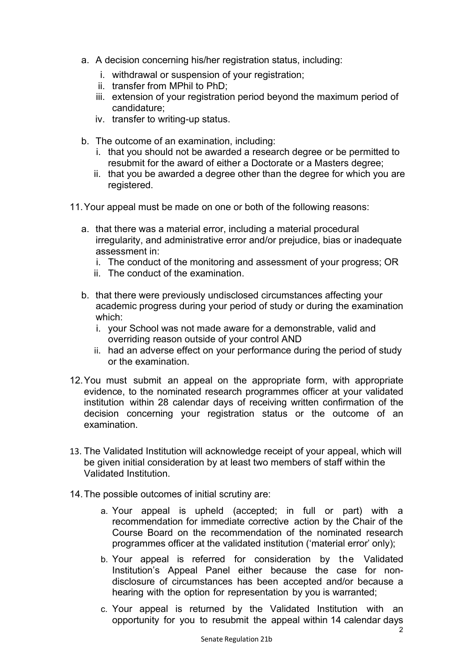- a. A decision concerning his/her registration status, including:
	- i. withdrawal or suspension of your registration;
	- ii. transfer from MPhil to PhD;
	- iii. extension of your registration period beyond the maximum period of candidature;
	- iv. transfer to writing-up status.
- b. The outcome of an examination, including:
	- i. that you should not be awarded a research degree or be permitted to resubmit for the award of either a Doctorate or a Masters degree;
	- ii. that you be awarded a degree other than the degree for which you are registered.
- 11. Your appeal must be made on one or both of the following reasons:
	- a. that there was a material error, including a material procedural irregularity, and administrative error and/or prejudice, bias or inadequate assessment in:
		- i. The conduct of the monitoring and assessment of your progress; OR
		- ii. The conduct of the examination.
	- b. that there were previously undisclosed circumstances affecting your academic progress during your period of study or during the examination which:
		- i. your School was not made aware for a demonstrable, valid and overriding reason outside of your control AND
		- ii. had an adverse effect on your performance during the period of study or the examination.
- 12. You must submit an appeal on the appropriate form, with appropriate evidence, to the nominated research programmes officer at your validated institution within 28 calendar days of receiving written confirmation of the decision concerning your registration status or the outcome of an examination.
- 13. The Validated Institution will acknowledge receipt of your appeal, which will be given initial consideration by at least two members of staff within the Validated Institution.
- 14. The possible outcomes of initial scrutiny are:
	- a. Your appeal is upheld (accepted; in full or part) with a recommendation for immediate corrective action by the Chair of the Course Board on the recommendation of the nominated research programmes officer at the validated institution ('material error' only);
	- b. Your appeal is referred for consideration by the Validated Institution's Appeal Panel either because the case for nondisclosure of circumstances has been accepted and/or because a hearing with the option for representation by you is warranted;
	- c. Your appeal is returned by the Validated Institution with an opportunity for you to resubmit the appeal within 14 calendar days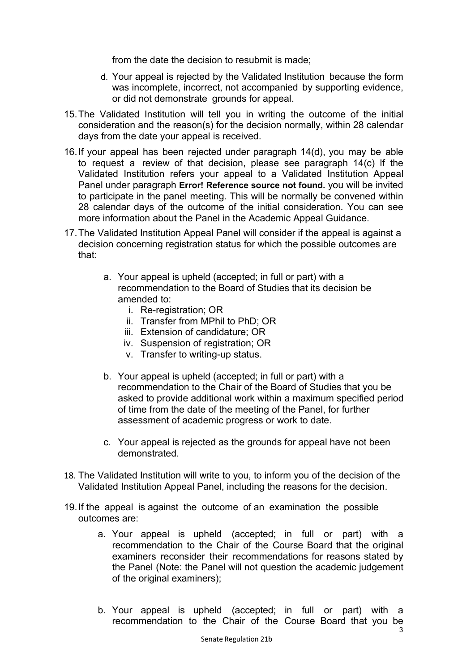from the date the decision to resubmit is made;

- d. Your appeal is rejected by the Validated Institution because the form was incomplete, incorrect, not accompanied by supporting evidence, or did not demonstrate grounds for appeal.
- 15. The Validated Institution will tell you in writing the outcome of the initial consideration and the reason(s) for the decision normally, within 28 calendar days from the date your appeal is received.
- 16. If your appeal has been rejected under paragraph 14(d), you may be able to request a review of that decision, please see paragraph 14(c) If the Validated Institution refers your appeal to a Validated Institution Appeal Panel under paragraph Error! Reference source not found. you will be invited to participate in the panel meeting. This will be normally be convened within 28 calendar days of the outcome of the initial consideration. You can see more information about the Panel in the Academic Appeal Guidance.
- 17. The Validated Institution Appeal Panel will consider if the appeal is against a decision concerning registration status for which the possible outcomes are that:
	- a. Your appeal is upheld (accepted; in full or part) with a recommendation to the Board of Studies that its decision be amended to:
		- i. Re-registration; OR
		- ii. Transfer from MPhil to PhD; OR
		- iii. Extension of candidature; OR
		- iv. Suspension of registration; OR
		- v. Transfer to writing-up status.
	- b. Your appeal is upheld (accepted; in full or part) with a recommendation to the Chair of the Board of Studies that you be asked to provide additional work within a maximum specified period of time from the date of the meeting of the Panel, for further assessment of academic progress or work to date.
	- c. Your appeal is rejected as the grounds for appeal have not been demonstrated.
- 18. The Validated Institution will write to you, to inform you of the decision of the Validated Institution Appeal Panel, including the reasons for the decision.
- 19. If the appeal is against the outcome of an examination the possible outcomes are:
	- a. Your appeal is upheld (accepted; in full or part) with a recommendation to the Chair of the Course Board that the original examiners reconsider their recommendations for reasons stated by the Panel (Note: the Panel will not question the academic judgement of the original examiners);
	- b. Your appeal is upheld (accepted; in full or part) with a recommendation to the Chair of the Course Board that you be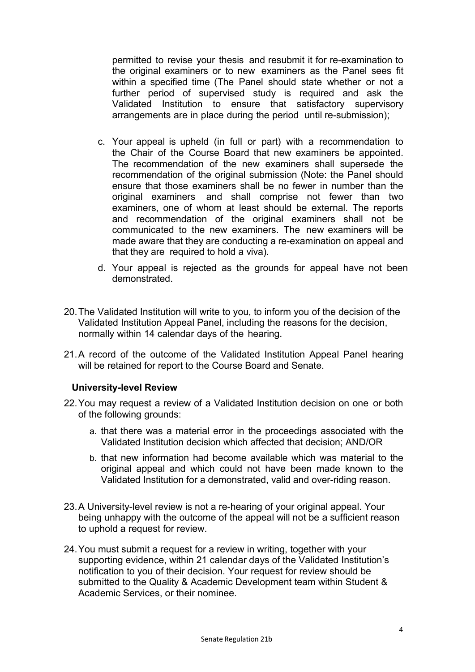permitted to revise your thesis and resubmit it for re-examination to the original examiners or to new examiners as the Panel sees fit within a specified time (The Panel should state whether or not a further period of supervised study is required and ask the Validated Institution to ensure that satisfactory supervisory arrangements are in place during the period until re-submission);

- c. Your appeal is upheld (in full or part) with a recommendation to the Chair of the Course Board that new examiners be appointed. The recommendation of the new examiners shall supersede the recommendation of the original submission (Note: the Panel should ensure that those examiners shall be no fewer in number than the original examiners and shall comprise not fewer than two examiners, one of whom at least should be external. The reports and recommendation of the original examiners shall not be communicated to the new examiners. The new examiners will be made aware that they are conducting a re-examination on appeal and that they are required to hold a viva).
- d. Your appeal is rejected as the grounds for appeal have not been demonstrated.
- 20. The Validated Institution will write to you, to inform you of the decision of the Validated Institution Appeal Panel, including the reasons for the decision, normally within 14 calendar days of the hearing.
- 21. A record of the outcome of the Validated Institution Appeal Panel hearing will be retained for report to the Course Board and Senate.

#### University-level Review

- 22. You may request a review of a Validated Institution decision on one or both of the following grounds:
	- a. that there was a material error in the proceedings associated with the Validated Institution decision which affected that decision; AND/OR
	- b. that new information had become available which was material to the original appeal and which could not have been made known to the Validated Institution for a demonstrated, valid and over-riding reason.
- 23. A University-level review is not a re-hearing of your original appeal. Your being unhappy with the outcome of the appeal will not be a sufficient reason to uphold a request for review.
- 24. You must submit a request for a review in writing, together with your supporting evidence, within 21 calendar days of the Validated Institution's notification to you of their decision. Your request for review should be submitted to the Quality & Academic Development team within Student & Academic Services, or their nominee.